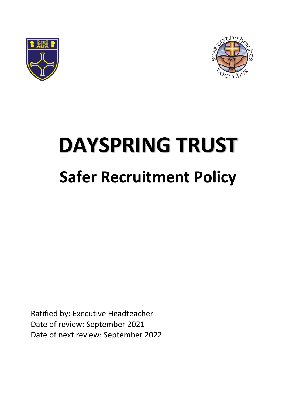



# **DAYSPRING TRUST Safer Recruitment Policy**

Ratified by: Executive Headteacher Date of review: September 2021 Date of next review: September 2022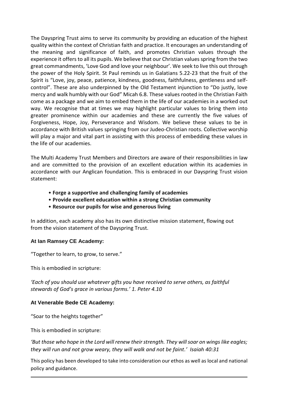The Dayspring Trust aims to serve its community by providing an education of the highest quality within the context of Christian faith and practice. It encourages an understanding of the meaning and significance of faith, and promotes Christian values through the experience it offers to all its pupils. We believe that our Christian values spring from the two great commandments, 'Love God and love your neighbour'. We seek to live this out through the power of the Holy Spirit. St Paul reminds us in Galatians 5.22-23 that the fruit of the Spirit is "Love, joy, peace, patience, kindness, goodness, faithfulness, gentleness and selfcontrol". These are also underpinned by the Old Testament injunction to "Do justly, love mercy and walk humbly with our God" Micah 6.8. These values rooted in the Christian Faith come as a package and we aim to embed them in the life of our academies in a worked out way. We recognise that at times we may highlight particular values to bring them into greater prominence within our academies and these are currently the five values of Forgiveness, Hope, Joy, Perseverance and Wisdom. We believe these values to be in accordance with British values springing from our Judeo-Christian roots. Collective worship will play a major and vital part in assisting with this process of embedding these values in the life of our academies.

The Multi Academy Trust Members and Directors are aware of their responsibilities in law and are committed to the provision of an excellent education within its academies in accordance with our Anglican foundation. This is embraced in our Dayspring Trust vision statement:

- **Forge a supportive and challenging family of academies**
- **Provide excellent education within a strong Christian community**
- **Resource our pupils for wise and generous living**

In addition, each academy also has its own distinctive mission statement, flowing out from the vision statement of the Dayspring Trust.

#### **At Ian Ramsey CE Academy:**

"Together to learn, to grow, to serve."

This is embodied in scripture:

*'Each of you should use whatever gifts you have received to serve others, as faithful stewards of God's grace in various forms.' 1. Peter 4.10*

#### **At Venerable Bede CE Academy:**

"Soar to the heights together"

This is embodied in scripture:

*'But those who hope in the Lord will renew their strength. They will soar on wings like eagles; they will run and not grow weary, they will walk and not be faint.' Isaiah 40:31*

This policy has been developed to take into consideration our ethos as well as local and national policy and guidance.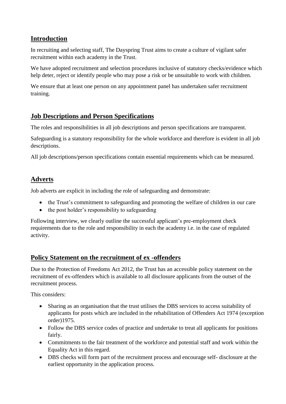#### **Introduction**

In recruiting and selecting staff, The Dayspring Trust aims to create a culture of vigilant safer recruitment within each academy in the Trust.

We have adopted recruitment and selection procedures inclusive of statutory checks/evidence which help deter, reject or identify people who may pose a risk or be unsuitable to work with children.

We ensure that at least one person on any appointment panel has undertaken safer recruitment training.

## **Job Descriptions and Person Specifications**

The roles and responsibilities in all job descriptions and person specifications are transparent.

Safeguarding is a statutory responsibility for the whole workforce and therefore is evident in all job descriptions.

All job descriptions/person specifications contain essential requirements which can be measured.

#### **Adverts**

Job adverts are explicit in including the role of safeguarding and demonstrate:

- the Trust's commitment to safeguarding and promoting the welfare of children in our care
- the post holder's responsibility to safeguarding

Following interview, we clearly outline the successful applicant's pre-employment check requirements due to the role and responsibility in each the academy i.e. in the case of regulated activity.

#### **Policy Statement on the recruitment of ex -offenders**

Due to the Protection of Freedoms Act 2012, the Trust has an accessible policy statement on the recruitment of ex-offenders which is available to all disclosure applicants from the outset of the recruitment process.

This considers:

- Sharing as an organisation that the trust utilises the DBS services to access suitability of applicants for posts which are included in the rehabilitation of Offenders Act 1974 (exception order)1975.
- Follow the DBS service codes of practice and undertake to treat all applicants for positions fairly.
- Commitments to the fair treatment of the workforce and potential staff and work within the Equality Act in this regard.
- DBS checks will form part of the recruitment process and encourage self- disclosure at the earliest opportunity in the application process.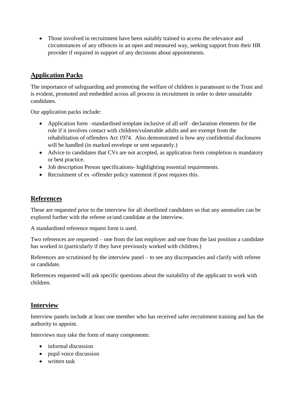• Those involved in recruitment have been suitably trained to access the relevance and circumstances of any offences in an open and measured way, seeking support from their HR provider if required in support of any decisions about appointments.

## **Application Packs**

The importance of safeguarding and promoting the welfare of children is paramount to the Trust and is evident, promoted and embedded across all process in recruitment in order to deter unsuitable candidates.

Our application packs include:

- Application form –standardised template inclusive of all self –declaration elements for the role if it involves contact with children/vulnerable adults and are exempt from the rehabilitation of offenders Act 1974. Also demonstrated is how any confidential disclosures will be handled (in marked envelope or sent separately.)
- Advice to candidates that CVs are not accepted, as application form completion is mandatory or best practice.
- Job description Person specifications- highlighting essential requirements.
- Recruitment of ex -offender policy statement if post requires this.

#### **References**

These are requested prior to the interview for all shortlisted candidates so that any anomalies can be explored further with the referee or/and candidate at the interview.

A standardised reference request form is used.

Two references are requested – one from the last employer and one from the last position a candidate has worked in (particularly if they have previously worked with children.)

References are scrutinised by the interview panel – to see any discrepancies and clarify with referee or candidate.

References requested will ask specific questions about the suitability of the applicant to work with children.

#### **Interview**

Interview panels include at least one member who has received safer recruitment training and has the authority to appoint.

Interviews may take the form of many components:

- informal discussion
- pupil voice discussion
- written task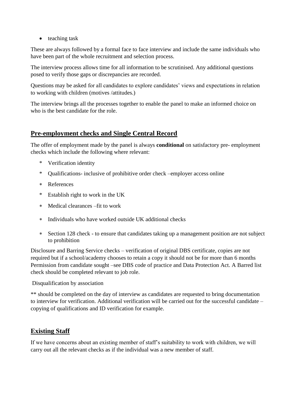$\bullet$  teaching task

These are always followed by a formal face to face interview and include the same individuals who have been part of the whole recruitment and selection process.

The interview process allows time for all information to be scrutinised. Any additional questions posed to verify those gaps or discrepancies are recorded.

Questions may be asked for all candidates to explore candidates' views and expectations in relation to working with children (motives /attitudes.)

The interview brings all the processes together to enable the panel to make an informed choice on who is the best candidate for the role.

#### **Pre-employment checks and Single Central Record**

The offer of employment made by the panel is always **conditional** on satisfactory pre- employment checks which include the following where relevant:

- \* Verification identity
- \* Qualifications- inclusive of prohibitive order check –employer access online
- References
- \* Establish right to work in the UK
- Medical clearances –fit to work
- Individuals who have worked outside UK additional checks
- Section 128 check to ensure that candidates taking up a management position are not subject to prohibition

Disclosure and Barring Service checks – verification of original DBS certificate, copies are not required but if a school/academy chooses to retain a copy it should not be for more than 6 months Permission from candidate sought –see DBS code of practice and Data Protection Act. A Barred list check should be completed relevant to job role.

Disqualification by association

\*\* should be completed on the day of interview as candidates are requested to bring documentation to interview for verification. Additional verification will be carried out for the successful candidate – copying of qualifications and ID verification for example.

## **Existing Staff**

If we have concerns about an existing member of staff's suitability to work with children, we will carry out all the relevant checks as if the individual was a new member of staff.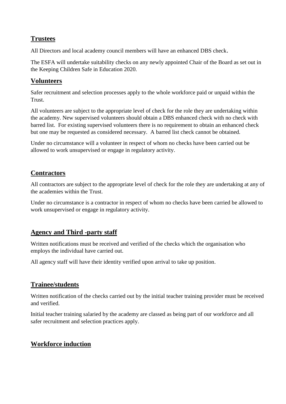#### **Trustees**

All Directors and local academy council members will have an enhanced DBS check.

The ESFA will undertake suitability checks on any newly appointed Chair of the Board as set out in the Keeping Children Safe in Education 2020.

## **Volunteers**

Safer recruitment and selection processes apply to the whole workforce paid or unpaid within the Trust.

All volunteers are subject to the appropriate level of check for the role they are undertaking within the academy. New supervised volunteers should obtain a DBS enhanced check with no check with barred list. For existing supervised volunteers there is no requirement to obtain an enhanced check but one may be requested as considered necessary. A barred list check cannot be obtained.

Under no circumstance will a volunteer in respect of whom no checks have been carried out be allowed to work unsupervised or engage in regulatory activity.

## **Contractors**

All contractors are subject to the appropriate level of check for the role they are undertaking at any of the academies within the Trust.

Under no circumstance is a contractor in respect of whom no checks have been carried be allowed to work unsupervised or engage in regulatory activity.

## **Agency and Third -party staff**

Written notifications must be received and verified of the checks which the organisation who employs the individual have carried out.

All agency staff will have their identity verified upon arrival to take up position.

## **Trainee/students**

Written notification of the checks carried out by the initial teacher training provider must be received and verified.

Initial teacher training salaried by the academy are classed as being part of our workforce and all safer recruitment and selection practices apply.

## **Workforce induction**